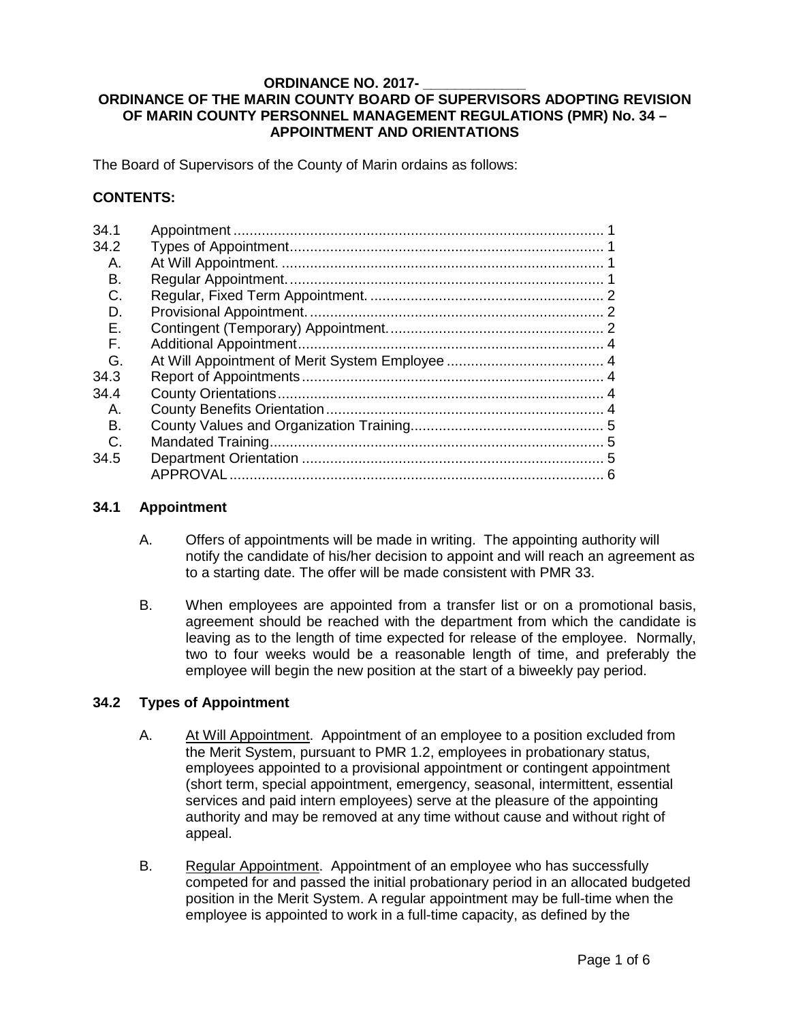#### **ORDINANCE NO. 2017- \_\_\_\_\_\_\_\_\_\_\_\_\_ ORDINANCE OF THE MARIN COUNTY BOARD OF SUPERVISORS ADOPTING REVISION OF MARIN COUNTY PERSONNEL MANAGEMENT REGULATIONS (PMR) No. 34 – APPOINTMENT AND ORIENTATIONS**

The Board of Supervisors of the County of Marin ordains as follows:

## **CONTENTS:**

| 34.1<br>34.2 |   |
|--------------|---|
| А.           |   |
| В.           |   |
| C.           |   |
| D.           |   |
| E.           |   |
| F.           |   |
| G.           |   |
| 34.3         |   |
| 34.4         |   |
| Α.           |   |
| В.           |   |
| C.           |   |
| 34.5         |   |
|              | 6 |
|              |   |

#### <span id="page-0-0"></span>**34.1 Appointment**

- A. Offers of appointments will be made in writing. The appointing authority will notify the candidate of his/her decision to appoint and will reach an agreement as to a starting date. The offer will be made consistent with PMR 33.
- B. When employees are appointed from a transfer list or on a promotional basis, agreement should be reached with the department from which the candidate is leaving as to the length of time expected for release of the employee. Normally, two to four weeks would be a reasonable length of time, and preferably the employee will begin the new position at the start of a biweekly pay period.

### <span id="page-0-2"></span><span id="page-0-1"></span>**34.2 Types of Appointment**

- A. At Will Appointment.Appointment of an employee to a position excluded from the Merit System, pursuant to PMR 1.2, employees in probationary status, employees appointed to a provisional appointment or contingent appointment (short term, special appointment, emergency, seasonal, intermittent, essential services and paid intern employees) serve at the pleasure of the appointing authority and may be removed at any time without cause and without right of appeal.
- <span id="page-0-3"></span>B. Regular Appointment. Appointment of an employee who has successfully competed for and passed the initial probationary period in an allocated budgeted position in the Merit System. A regular appointment may be full-time when the employee is appointed to work in a full-time capacity, as defined by the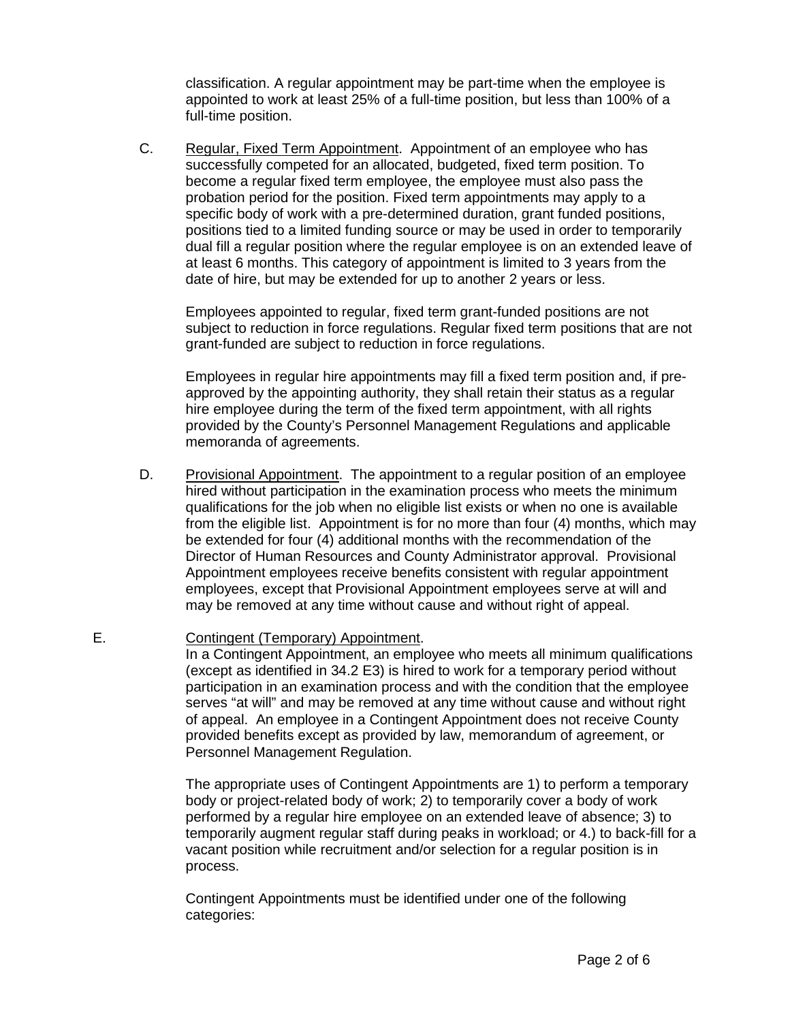classification. A regular appointment may be part-time when the employee is appointed to work at least 25% of a full-time position, but less than 100% of a full-time position.

<span id="page-1-0"></span>C. Regular, Fixed Term Appointment. Appointment of an employee who has successfully competed for an allocated, budgeted, fixed term position. To become a regular fixed term employee, the employee must also pass the probation period for the position. Fixed term appointments may apply to a specific body of work with a pre-determined duration, grant funded positions, positions tied to a limited funding source or may be used in order to temporarily dual fill a regular position where the regular employee is on an extended leave of at least 6 months. This category of appointment is limited to 3 years from the date of hire, but may be extended for up to another 2 years or less.

Employees appointed to regular, fixed term grant-funded positions are not subject to reduction in force regulations. Regular fixed term positions that are not grant-funded are subject to reduction in force regulations.

Employees in regular hire appointments may fill a fixed term position and, if preapproved by the appointing authority, they shall retain their status as a regular hire employee during the term of the fixed term appointment, with all rights provided by the County's Personnel Management Regulations and applicable memoranda of agreements.

- <span id="page-1-1"></span>D. Provisional Appointment. The appointment to a regular position of an employee hired without participation in the examination process who meets the minimum qualifications for the job when no eligible list exists or when no one is available from the eligible list. Appointment is for no more than four (4) months, which may be extended for four (4) additional months with the recommendation of the Director of Human Resources and County Administrator approval. Provisional Appointment employees receive benefits consistent with regular appointment employees, except that Provisional Appointment employees serve at will and may be removed at any time without cause and without right of appeal.
- <span id="page-1-2"></span>E. Contingent (Temporary) Appointment.

In a Contingent Appointment, an employee who meets all minimum qualifications (except as identified in 34.2 E3) is hired to work for a temporary period without participation in an examination process and with the condition that the employee serves "at will" and may be removed at any time without cause and without right of appeal. An employee in a Contingent Appointment does not receive County provided benefits except as provided by law, memorandum of agreement, or Personnel Management Regulation.

The appropriate uses of Contingent Appointments are 1) to perform a temporary body or project-related body of work; 2) to temporarily cover a body of work performed by a regular hire employee on an extended leave of absence; 3) to temporarily augment regular staff during peaks in workload; or 4.) to back-fill for a vacant position while recruitment and/or selection for a regular position is in process.

Contingent Appointments must be identified under one of the following categories: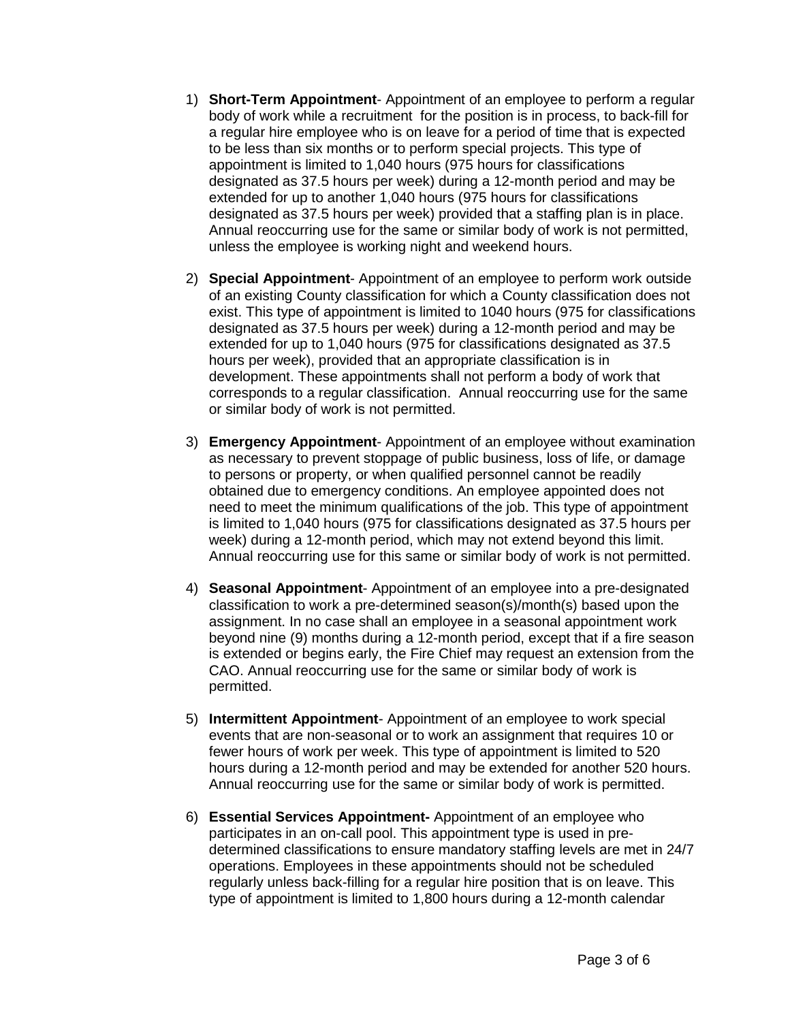- 1) **Short-Term Appointment** Appointment of an employee to perform a regular body of work while a recruitment for the position is in process, to back-fill for a regular hire employee who is on leave for a period of time that is expected to be less than six months or to perform special projects. This type of appointment is limited to 1,040 hours (975 hours for classifications designated as 37.5 hours per week) during a 12-month period and may be extended for up to another 1,040 hours (975 hours for classifications designated as 37.5 hours per week) provided that a staffing plan is in place. Annual reoccurring use for the same or similar body of work is not permitted, unless the employee is working night and weekend hours.
- 2) **Special Appointment** Appointment of an employee to perform work outside of an existing County classification for which a County classification does not exist. This type of appointment is limited to 1040 hours (975 for classifications designated as 37.5 hours per week) during a 12-month period and may be extended for up to 1,040 hours (975 for classifications designated as 37.5 hours per week), provided that an appropriate classification is in development. These appointments shall not perform a body of work that corresponds to a regular classification. Annual reoccurring use for the same or similar body of work is not permitted.
- 3) **Emergency Appointment** Appointment of an employee without examination as necessary to prevent stoppage of public business, loss of life, or damage to persons or property, or when qualified personnel cannot be readily obtained due to emergency conditions. An employee appointed does not need to meet the minimum qualifications of the job. This type of appointment is limited to 1,040 hours (975 for classifications designated as 37.5 hours per week) during a 12-month period, which may not extend beyond this limit. Annual reoccurring use for this same or similar body of work is not permitted.
- 4) **Seasonal Appointment** Appointment of an employee into a pre-designated classification to work a pre-determined season(s)/month(s) based upon the assignment. In no case shall an employee in a seasonal appointment work beyond nine (9) months during a 12-month period, except that if a fire season is extended or begins early, the Fire Chief may request an extension from the CAO. Annual reoccurring use for the same or similar body of work is permitted.
- 5) **Intermittent Appointment** Appointment of an employee to work special events that are non-seasonal or to work an assignment that requires 10 or fewer hours of work per week. This type of appointment is limited to 520 hours during a 12-month period and may be extended for another 520 hours. Annual reoccurring use for the same or similar body of work is permitted.
- 6) **Essential Services Appointment-** Appointment of an employee who participates in an on-call pool. This appointment type is used in predetermined classifications to ensure mandatory staffing levels are met in 24/7 operations. Employees in these appointments should not be scheduled regularly unless back-filling for a regular hire position that is on leave. This type of appointment is limited to 1,800 hours during a 12-month calendar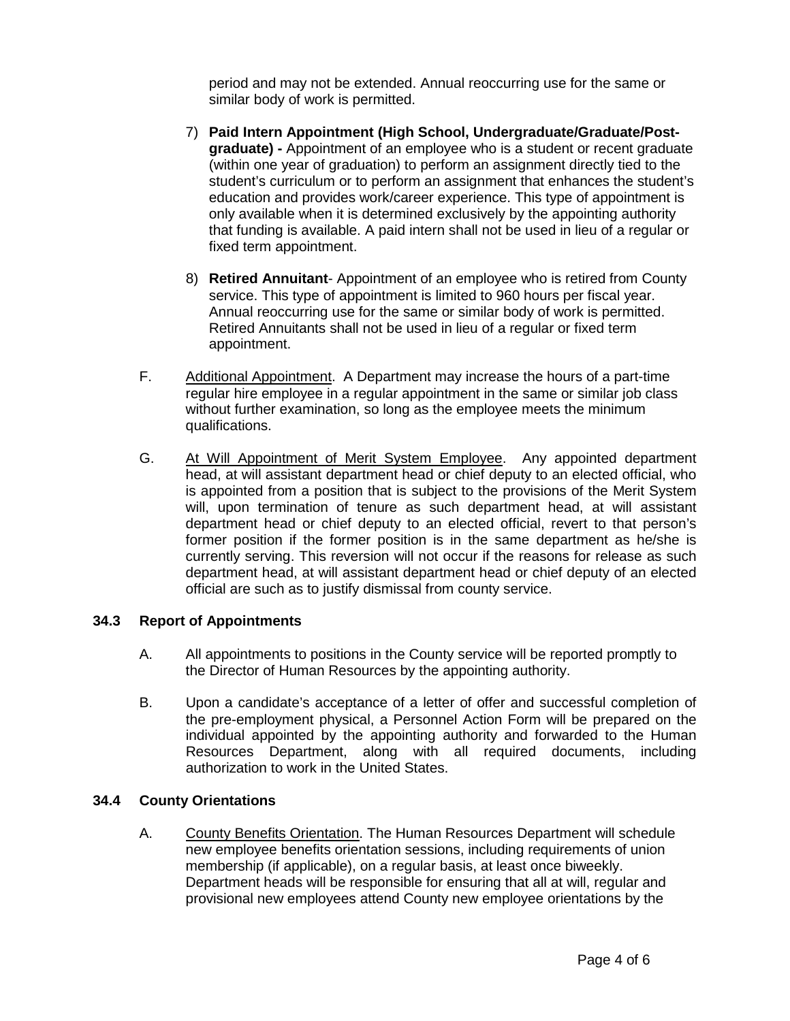period and may not be extended. Annual reoccurring use for the same or similar body of work is permitted.

- 7) **Paid Intern Appointment (High School, Undergraduate/Graduate/Postgraduate) -** Appointment of an employee who is a student or recent graduate (within one year of graduation) to perform an assignment directly tied to the student's curriculum or to perform an assignment that enhances the student's education and provides work/career experience. This type of appointment is only available when it is determined exclusively by the appointing authority that funding is available. A paid intern shall not be used in lieu of a regular or fixed term appointment.
- 8) **Retired Annuitant** Appointment of an employee who is retired from County service. This type of appointment is limited to 960 hours per fiscal year. Annual reoccurring use for the same or similar body of work is permitted. Retired Annuitants shall not be used in lieu of a regular or fixed term appointment.
- <span id="page-3-0"></span>F. Additional Appointment. A Department may increase the hours of a part-time regular hire employee in a regular appointment in the same or similar job class without further examination, so long as the employee meets the minimum qualifications.
- <span id="page-3-1"></span>G. At Will Appointment of Merit System Employee. Any appointed department head, at will assistant department head or chief deputy to an elected official, who is appointed from a position that is subject to the provisions of the Merit System will, upon termination of tenure as such department head, at will assistant department head or chief deputy to an elected official, revert to that person's former position if the former position is in the same department as he/she is currently serving. This reversion will not occur if the reasons for release as such department head, at will assistant department head or chief deputy of an elected official are such as to justify dismissal from county service.

### <span id="page-3-2"></span>**34.3 Report of Appointments**

- A. All appointments to positions in the County service will be reported promptly to the Director of Human Resources by the appointing authority.
- B. Upon a candidate's acceptance of a letter of offer and successful completion of the pre-employment physical, a Personnel Action Form will be prepared on the individual appointed by the appointing authority and forwarded to the Human Resources Department, along with all required documents, including authorization to work in the United States.

### <span id="page-3-4"></span><span id="page-3-3"></span>**34.4 County Orientations**

A. County Benefits Orientation. The Human Resources Department will schedule new employee benefits orientation sessions, including requirements of union membership (if applicable), on a regular basis, at least once biweekly. Department heads will be responsible for ensuring that all at will, regular and provisional new employees attend County new employee orientations by the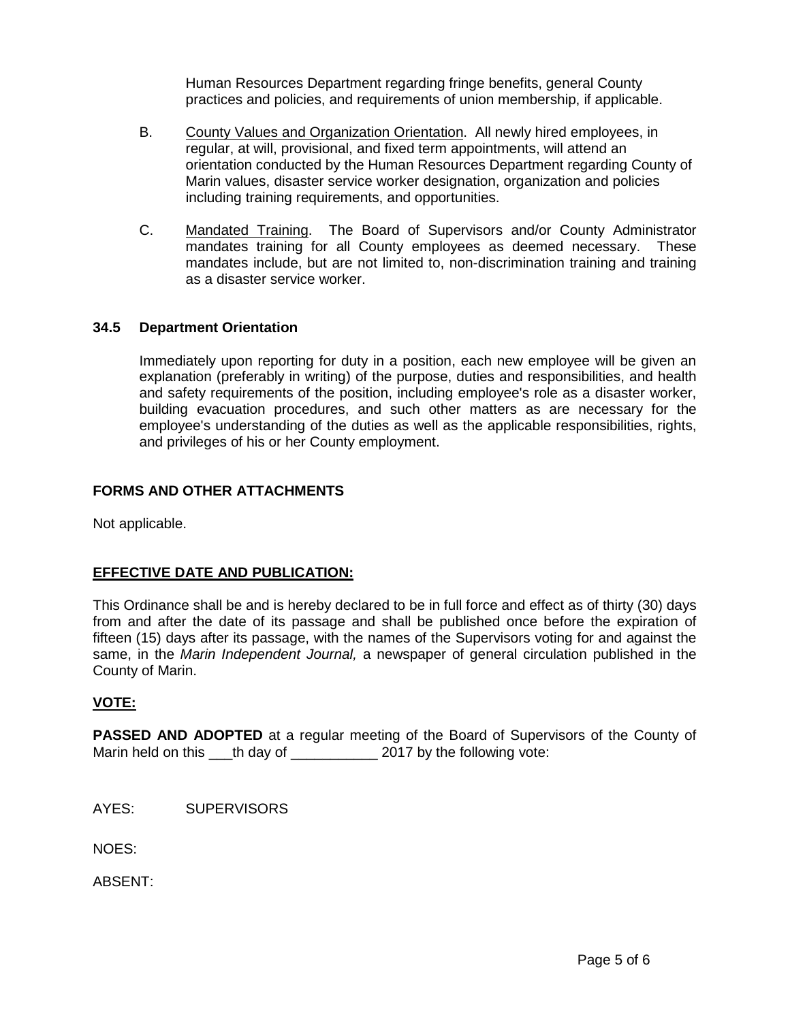Human Resources Department regarding fringe benefits, general County practices and policies, and requirements of union membership, if applicable.

- <span id="page-4-0"></span>B. County Values and Organization Orientation. All newly hired employees, in regular, at will, provisional, and fixed term appointments, will attend an orientation conducted by the Human Resources Department regarding County of Marin values, disaster service worker designation, organization and policies including training requirements, and opportunities.
- <span id="page-4-1"></span>C. Mandated Training. The Board of Supervisors and/or County Administrator mandates training for all County employees as deemed necessary. These mandates include, but are not limited to, non-discrimination training and training as a disaster service worker.

### <span id="page-4-2"></span>**34.5 Department Orientation**

Immediately upon reporting for duty in a position, each new employee will be given an explanation (preferably in writing) of the purpose, duties and responsibilities, and health and safety requirements of the position, including employee's role as a disaster worker, building evacuation procedures, and such other matters as are necessary for the employee's understanding of the duties as well as the applicable responsibilities, rights, and privileges of his or her County employment.

## **FORMS AND OTHER ATTACHMENTS**

Not applicable.

# **EFFECTIVE DATE AND PUBLICATION:**

This Ordinance shall be and is hereby declared to be in full force and effect as of thirty (30) days from and after the date of its passage and shall be published once before the expiration of fifteen (15) days after its passage, with the names of the Supervisors voting for and against the same, in the *Marin Independent Journal,* a newspaper of general circulation published in the County of Marin.

### **VOTE:**

**PASSED AND ADOPTED** at a regular meeting of the Board of Supervisors of the County of Marin held on this \_\_\_th day of \_\_\_\_\_\_\_\_\_\_\_\_\_ 2017 by the following vote:

AYES: SUPERVISORS

NOES:

ABSENT: